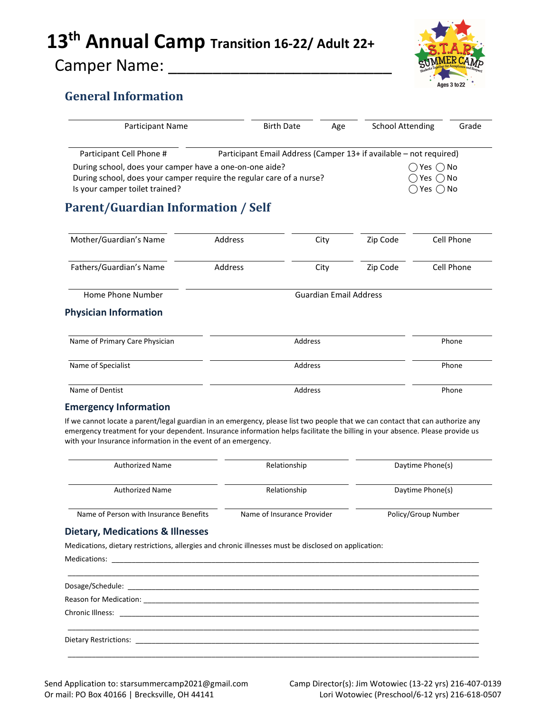# 13<sup>th</sup> Annual Camp Transition 16-22/ Adult 22+

## Camper Name: \_\_\_\_\_\_\_\_\_\_\_\_\_\_\_\_\_\_\_\_\_\_\_\_\_



## General Information

| Participant Name                                                                                                                                                  |         | <b>Birth Date</b>                                  | Age                           | <b>School Attending</b>                                            |            | Grade |
|-------------------------------------------------------------------------------------------------------------------------------------------------------------------|---------|----------------------------------------------------|-------------------------------|--------------------------------------------------------------------|------------|-------|
| Participant Cell Phone #                                                                                                                                          |         |                                                    |                               | Participant Email Address (Camper 13+ if available - not required) |            |       |
| During school, does your camper have a one-on-one aide?<br>During school, does your camper require the regular care of a nurse?<br>Is your camper toilet trained? |         | Yes () No<br>Yes $\bigcap$ No<br>Yes $\bigcirc$ No |                               |                                                                    |            |       |
| <b>Parent/Guardian Information / Self</b>                                                                                                                         |         |                                                    |                               |                                                                    |            |       |
| Mother/Guardian's Name                                                                                                                                            | Address |                                                    | City                          | Zip Code                                                           | Cell Phone |       |
| Fathers/Guardian's Name                                                                                                                                           | Address |                                                    | City                          | Zip Code                                                           | Cell Phone |       |
| Home Phone Number                                                                                                                                                 |         |                                                    | <b>Guardian Email Address</b> |                                                                    |            |       |
| <b>Physician Information</b>                                                                                                                                      |         |                                                    |                               |                                                                    |            |       |
| Name of Primary Care Physician                                                                                                                                    |         | Address                                            |                               |                                                                    | Phone      |       |
| Name of Specialist                                                                                                                                                |         | Address                                            |                               |                                                                    | Phone      |       |
| Name of Dentist                                                                                                                                                   |         | Address                                            |                               |                                                                    | Phone      |       |

#### Emergency Information

If we cannot locate a parent/legal guardian in an emergency, please list two people that we can contact that can authorize any emergency treatment for your dependent. Insurance information helps facilitate the billing in your absence. Please provide us with your Insurance information in the event of an emergency.

| <b>Authorized Name</b>                 | Relationship               | Daytime Phone(s)    |
|----------------------------------------|----------------------------|---------------------|
| <b>Authorized Name</b>                 | Relationship               | Daytime Phone(s)    |
| Name of Person with Insurance Benefits | Name of Insurance Provider | Policy/Group Number |

#### Dietary, Medications & Illnesses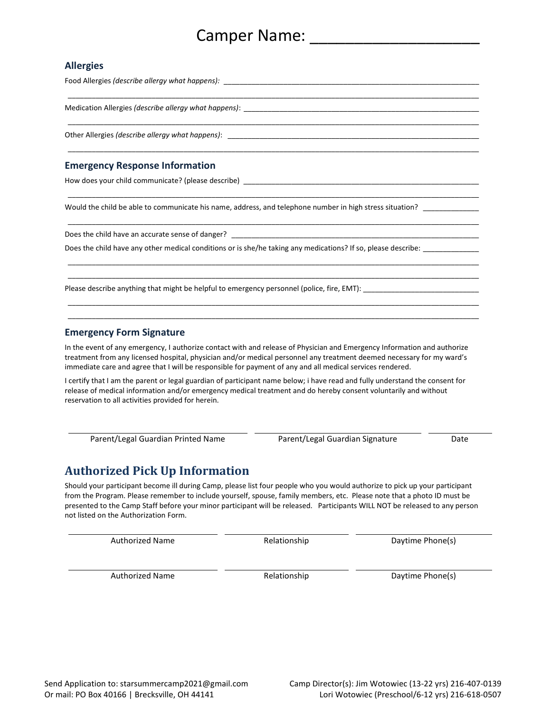## Camper Name:  $\Box$

#### Allergies

Food Allergies (describe allergy what happens): \_\_\_\_\_\_\_\_\_\_\_\_\_\_\_\_\_\_\_\_\_\_\_\_\_\_\_\_\_\_\_\_\_\_\_\_\_\_\_\_\_\_\_\_\_\_\_\_\_\_\_\_\_\_\_\_\_\_\_\_\_\_\_\_ \_\_\_\_\_\_\_\_\_\_\_\_\_\_\_\_\_\_\_\_\_\_\_\_\_\_\_\_\_\_\_\_\_\_\_\_\_\_\_\_\_\_\_\_\_\_\_\_\_\_\_\_\_\_\_\_\_\_\_\_\_\_\_\_\_\_\_\_\_\_\_\_\_\_\_\_\_\_\_\_\_\_\_\_\_\_\_\_\_\_\_\_\_\_\_\_\_\_\_\_\_\_\_ Medication Allergies (describe allergy what happens): \_\_\_\_\_\_\_\_\_\_\_\_\_\_\_\_\_\_\_\_\_\_\_\_\_\_ \_\_\_\_\_\_\_\_\_\_\_\_\_\_\_\_\_\_\_\_\_\_\_\_\_\_\_\_\_\_\_\_\_\_\_\_\_\_\_\_\_\_\_\_\_\_\_\_\_\_\_\_\_\_\_\_\_\_\_\_\_\_\_\_\_\_\_\_\_\_\_\_\_\_\_\_\_\_\_\_\_\_\_\_\_\_\_\_\_\_\_\_\_\_\_\_\_\_\_\_\_\_\_

\_\_\_\_\_\_\_\_\_\_\_\_\_\_\_\_\_\_\_\_\_\_\_\_\_\_\_\_\_\_\_\_\_\_\_\_\_\_\_\_\_\_\_\_\_\_\_\_\_\_\_\_\_\_\_\_\_\_\_\_\_\_\_\_\_\_\_\_\_\_\_\_\_\_\_\_\_\_\_\_\_\_\_\_\_\_\_\_\_\_\_\_\_\_\_\_\_\_\_\_\_\_\_

\_\_\_\_\_\_\_\_\_\_\_\_\_\_\_\_\_\_\_\_\_\_\_\_\_\_\_\_\_\_\_\_\_\_\_\_\_\_\_\_\_\_\_\_\_\_\_\_\_\_\_\_\_\_\_\_\_\_\_\_\_\_\_\_\_\_\_\_\_\_\_\_\_\_\_\_\_\_\_\_\_\_\_\_\_\_\_\_\_\_\_\_\_\_\_\_\_\_\_\_\_\_\_

\_\_\_\_\_\_\_\_\_\_\_\_\_\_\_\_\_\_\_\_\_\_\_\_\_\_\_\_\_\_\_\_\_\_\_\_\_\_\_\_\_\_\_\_\_\_\_\_\_\_\_\_\_\_\_\_\_\_\_\_\_\_\_\_\_\_\_\_\_\_\_\_\_\_\_\_\_\_\_\_\_\_\_\_\_\_\_\_\_\_\_\_\_\_\_\_\_\_\_\_\_\_\_

 \_\_\_\_\_\_\_\_\_\_\_\_\_\_\_\_\_\_\_\_\_\_\_\_\_\_\_\_\_\_\_\_\_\_\_\_\_\_\_\_\_\_\_\_\_\_\_\_\_\_\_\_\_\_\_\_\_\_\_\_\_\_\_\_\_\_\_\_\_\_\_\_\_\_\_\_\_\_\_\_\_\_\_\_\_\_\_\_\_\_\_\_\_\_\_\_\_\_\_\_\_\_\_ \_\_\_\_\_\_\_\_\_\_\_\_\_\_\_\_\_\_\_\_\_\_\_\_\_\_\_\_\_\_\_\_\_\_\_\_\_\_\_\_\_\_\_\_\_\_\_\_\_\_\_\_\_\_\_\_\_\_\_\_\_\_\_\_\_\_\_\_\_\_\_\_\_\_\_\_\_\_\_\_\_\_\_\_\_\_\_\_\_\_\_\_\_\_\_\_\_\_\_\_\_\_\_

 \_\_\_\_\_\_\_\_\_\_\_\_\_\_\_\_\_\_\_\_\_\_\_\_\_\_\_\_\_\_\_\_\_\_\_\_\_\_\_\_\_\_\_\_\_\_\_\_\_\_\_\_\_\_\_\_\_\_\_\_\_\_\_\_\_\_\_\_\_\_\_\_\_\_\_\_\_\_\_\_\_\_\_\_\_\_\_\_\_\_\_\_\_\_\_\_\_\_\_\_\_\_\_ \_\_\_\_\_\_\_\_\_\_\_\_\_\_\_\_\_\_\_\_\_\_\_\_\_\_\_\_\_\_\_\_\_\_\_\_\_\_\_\_\_\_\_\_\_\_\_\_\_\_\_\_\_\_\_\_\_\_\_\_\_\_\_\_\_\_\_\_\_\_\_\_\_\_\_\_\_\_\_\_\_\_\_\_\_\_\_\_\_\_\_\_\_\_\_\_\_\_\_\_\_\_\_

Other Allergies (describe allergy what happens):

#### Emergency Response Information

How does your child communicate? (please describe) \_\_\_\_\_\_\_\_\_\_\_\_\_\_\_\_\_\_\_\_\_\_\_\_\_\_\_\_\_

Would the child be able to communicate his name, address, and telephone number in high stress situation?

Does the child have an accurate sense of danger? \_\_\_\_\_\_\_\_\_\_\_\_\_\_\_\_\_\_\_\_\_\_\_\_\_\_\_\_\_\_\_

Does the child have any other medical conditions or is she/he taking any medications? If so, please describe: \_\_\_\_\_

Please describe anything that might be helpful to emergency personnel (police, fire, EMT):

#### Emergency Form Signature

In the event of any emergency, I authorize contact with and release of Physician and Emergency Information and authorize treatment from any licensed hospital, physician and/or medical personnel any treatment deemed necessary for my ward's immediate care and agree that I will be responsible for payment of any and all medical services rendered.

I certify that I am the parent or legal guardian of participant name below; i have read and fully understand the consent for release of medical information and/or emergency medical treatment and do hereby consent voluntarily and without reservation to all activities provided for herein.

Parent/Legal Guardian Printed Name Parent/Legal Guardian Signature Date

## Authorized Pick Up Information

Should your participant become ill during Camp, please list four people who you would authorize to pick up your participant from the Program. Please remember to include yourself, spouse, family members, etc. Please note that a photo ID must be presented to the Camp Staff before your minor participant will be released. Participants WILL NOT be released to any person not listed on the Authorization Form.

Authorized Name **Relationship Relationship** Daytime Phone(s)

Authorized Name The Relationship Control of Daytime Phone(s)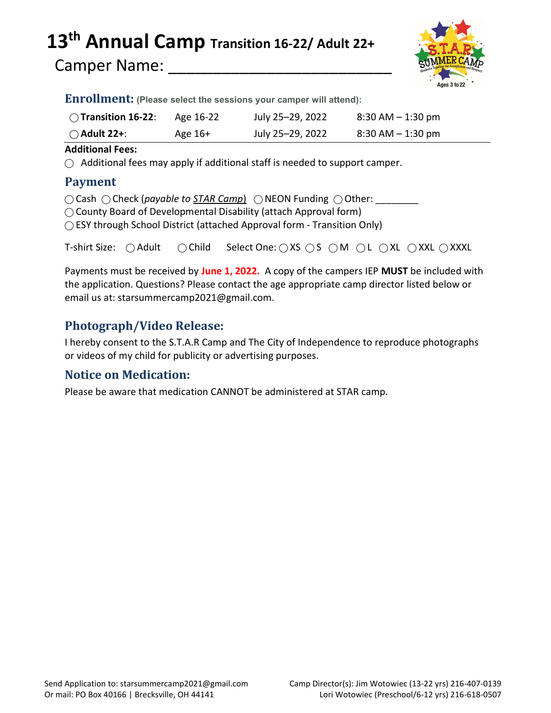# 13<sup>th</sup> Annual Camp Transition 16-22/ Adult 22+

Camper Name:



Enrollment: (Please select the sessions your camper will attend):

| $\bigcirc$ Transition 16-22: | Age 16-22 | July 25-29, 2022 | $8:30$ AM $-1:30$ pm |
|------------------------------|-----------|------------------|----------------------|
| $\bigcirc$ Adult 22+:        | Age 16+   | July 25–29, 2022 | $8:30$ AM $-1:30$ pm |

#### Additional Fees:

 $\bigcirc$  Additional fees may apply if additional staff is needed to support camper.

### Payment

 $\bigcirc$  Cash  $\bigcirc$  Check (payable to STAR Camp)  $\bigcirc$  NEON Funding  $\bigcirc$  Other:

◯ County Board of Developmental Disability (attach Approval form)

◯ ESY through School District (attached Approval form - Transition Only)

T-shirt Size: ○ Adult ○ Child Select One: ○ XS ○ S ○ M ○ L ○ XL ○ XXL ○ XXXL

Payments must be received by June 1, 2022. A copy of the campers IEP MUST be included with the application. Questions? Please contact the age appropriate camp director listed below or email us at: starsummercamp2021@gmail.com.

## Photograph/Video Release:

I hereby consent to the S.T.A.R Camp and The City of Independence to reproduce photographs or videos of my child for publicity or advertising purposes.

## Notice on Medication:

Please be aware that medication CANNOT be administered at STAR camp.